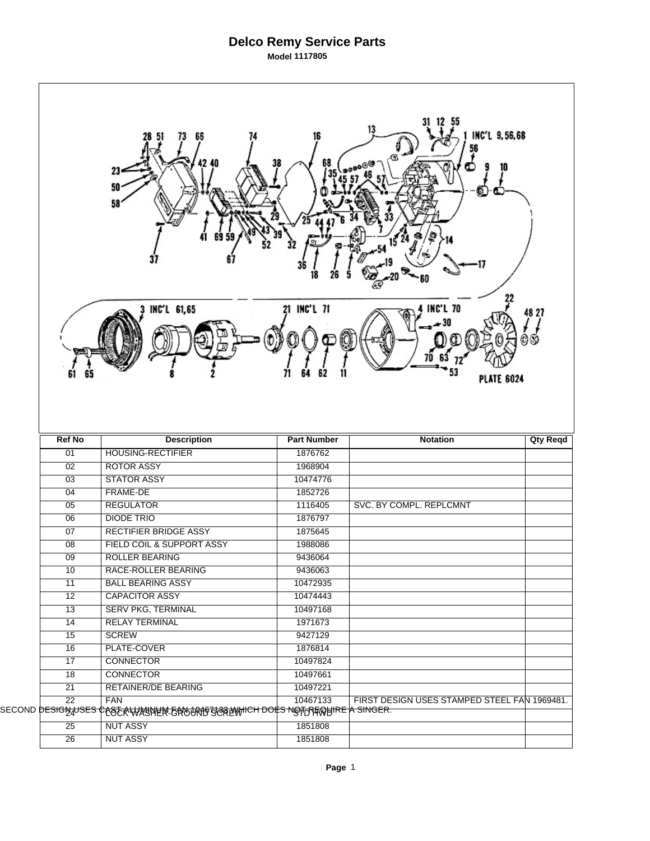## **Delco Remy Service Parts Model 1117805**

|                                    | 51<br>23<br>50<br>58                                                                                                       | 68                 | 13<br>INC'L 9,56,68<br>10                    |                 |
|------------------------------------|----------------------------------------------------------------------------------------------------------------------------|--------------------|----------------------------------------------|-----------------|
|                                    | INC'L 61,65                                                                                                                | 21 INC'L 71        | <b>INC'L 70</b><br><b>PLATE 6024</b>         | 48 27           |
|                                    |                                                                                                                            |                    |                                              |                 |
| <b>Ref No</b>                      | <b>Description</b>                                                                                                         | <b>Part Number</b> | <b>Notation</b>                              | <b>Qty Reqd</b> |
| 01                                 | <b>HOUSING-RECTIFIER</b>                                                                                                   | 1876762            |                                              |                 |
| 02                                 | <b>ROTOR ASSY</b>                                                                                                          | 1968904            |                                              |                 |
| 03                                 | <b>STATOR ASSY</b>                                                                                                         | 10474776           |                                              |                 |
| 04                                 | FRAME-DE                                                                                                                   | 1852726            |                                              |                 |
| 05                                 | <b>REGULATOR</b>                                                                                                           | 1116405            | SVC. BY COMPL. REPLCMNT                      |                 |
| $\overline{06}$                    | <b>DIODE TRIO</b>                                                                                                          | 1876797            |                                              |                 |
| 07                                 | <b>RECTIFIER BRIDGE ASSY</b>                                                                                               | 1875645            |                                              |                 |
| 08                                 | FIELD COIL & SUPPORT ASSY                                                                                                  | 1988086            |                                              |                 |
| $\overline{09}$                    | <b>ROLLER BEARING</b>                                                                                                      | 9436064            |                                              |                 |
| 10                                 | RACE-ROLLER BEARING                                                                                                        | 9436063            |                                              |                 |
| 11                                 | <b>BALL BEARING ASSY</b>                                                                                                   | 10472935           |                                              |                 |
| $\overline{12}$                    | <b>CAPACITOR ASSY</b>                                                                                                      | 10474443           |                                              |                 |
| $\overline{13}$                    | <b>SERV PKG, TERMINAL</b>                                                                                                  | 10497168           |                                              |                 |
| $\overline{14}$                    | <b>RELAY TERMINAL</b>                                                                                                      | 1971673            |                                              |                 |
| $\overline{15}$                    | <b>SCREW</b>                                                                                                               | 9427129            |                                              |                 |
| 16                                 | PLATE-COVER                                                                                                                | 1876814            |                                              |                 |
| 17                                 | <b>CONNECTOR</b>                                                                                                           | 10497824           |                                              |                 |
| 18                                 | <b>CONNECTOR</b>                                                                                                           | 10497661           |                                              |                 |
| $\overline{21}$                    | RETAINER/DE BEARING                                                                                                        | 10497221           |                                              |                 |
| $\overline{22}$                    | <b>FAN</b><br>SECOND <del>DESIGN<sub>A</sub>USES CASERWANNEN ERNJURISSREWHICH DOES NSTRERBIRE <mark>A SINGER.</mark></del> | 10467133           | FIRST DESIGN USES STAMPED STEEL FAN 1969481. |                 |
| $\overline{25}$<br>$\overline{26}$ | <b>NUT ASSY</b><br><b>NUT ASSY</b>                                                                                         | 1851808<br>1851808 |                                              |                 |